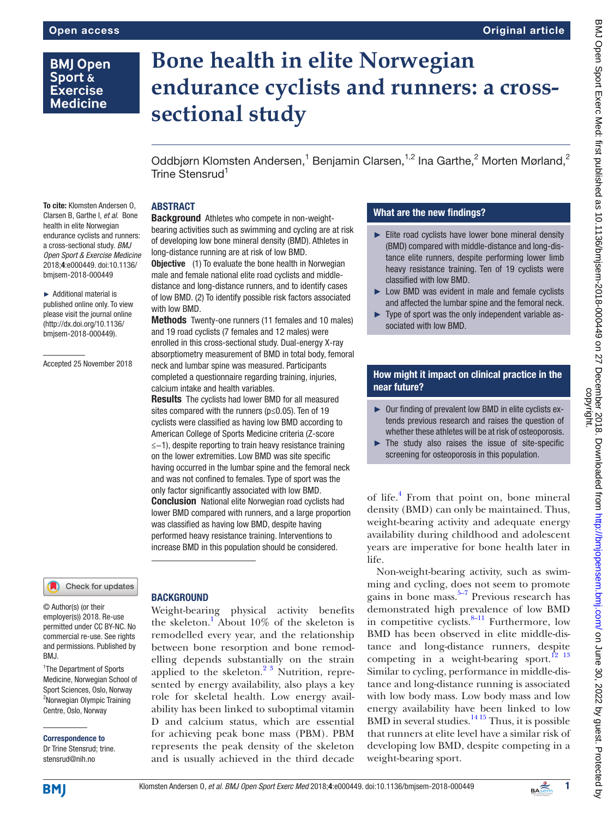# **BMJ Open** Sport & **Exercise Medicine**

To cite: Klomsten Andersen O, Clarsen B, Garthe I, *et al*. Bone health in elite Norwegian endurance cyclists and runners: a cross-sectional study. *BMJ Open Sport & Exercise Medicine* 2018;4:e000449. doi:10.1136/ bmjsem-2018-000449 ► Additional material is published online only. To view please visit the journal online (http://dx.doi.org/10.1136/ bmjsem-2018-000449).

Accepted 25 November 2018

# **Bone health in elite Norwegian endurance cyclists and runners: a crosssectional study**

Oddbjørn Klomsten Andersen,<sup>1</sup> Benjamin Clarsen,<sup>1,2</sup> Ina Garthe,<sup>2</sup> Morten Mørland,<sup>2</sup> Trine Stensrud<sup>1</sup>

# **ABSTRACT**

Background Athletes who compete in non-weightbearing activities such as swimming and cycling are at risk of developing low bone mineral density (BMD). Athletes in long-distance running are at risk of low BMD.

**Objective** (1) To evaluate the bone health in Norwegian male and female national elite road cyclists and middledistance and long-distance runners, and to identify cases of low BMD. (2) To identify possible risk factors associated with low BMD.

Methods Twenty-one runners (11 females and 10 males) and 19 road cyclists (7 females and 12 males) were enrolled in this cross-sectional study. Dual-energy X-ray absorptiometry measurement of BMD in total body, femoral neck and lumbar spine was measured. Participants completed a questionnaire regarding training, injuries, calcium intake and health variables.

**Results** The cyclists had lower BMD for all measured sites compared with the runners (p≤0.05). Ten of 19 cyclists were classified as having low BMD according to American College of Sports Medicine criteria (Z-score ≤−1), despite reporting to train heavy resistance training on the lower extremities. Low BMD was site specific having occurred in the lumbar spine and the femoral neck and was not confined to females. Type of sport was the only factor significantly associated with low BMD. **Conclusion** National elite Norwegian road cyclists had lower BMD compared with runners, and a large proportion was classified as having low BMD, despite having performed heavy resistance training. Interventions to increase BMD in this population should be considered.

#### Check for updates

© Author(s) (or their employer(s)) 2018. Re-use permitted under CC BY-NC. No commercial re-use. See rights and permissions. Published by BMJ.

<sup>1</sup>The Department of Sports Medicine, Norwegian School of Sport Sciences, Oslo, Norway <sup>2</sup>Norwegian Olympic Training Centre, Oslo, Norway

Correspondence to Dr Trine Stensrud; trine. stensrud@nih.no

# **BACKGROUND**

Weight-bearing physical activity benefits the skeleton.<sup>1</sup> About 10% of the skeleton is remodelled every year, and the relationship between bone resorption and bone remodelling depends substantially on the strain applied to the skeleton.<sup>[2 3](#page-5-0)</sup> Nutrition, represented by energy availability, also plays a key role for skeletal health. Low energy availability has been linked to suboptimal vitamin D and calcium status, which are essential for achieving peak bone mass (PBM). PBM represents the peak density of the skeleton and is usually achieved in the third decade

# What are the new findings?

- ► Elite road cyclists have lower bone mineral density (BMD) compared with middle-distance and long-distance elite runners, despite performing lower limb heavy resistance training. Ten of 19 cyclists were classified with low BMD.
- ► Low BMD was evident in male and female cyclists and affected the lumbar spine and the femoral neck.
- ► Type of sport was the only independent variable associated with low BMD.

#### How might it impact on clinical practice in the near future?

- ► Our finding of prevalent low BMD in elite cyclists extends previous research and raises the question of whether these athletes will be at risk of osteoporosis.
- $\triangleright$  The study also raises the issue of site-specific screening for osteoporosis in this population.

of life.<sup>[4](#page-5-1)</sup> From that point on, bone mineral density (BMD) can only be maintained. Thus, weight-bearing activity and adequate energy availability during childhood and adolescent years are imperative for bone health later in life.

Non-weight-bearing activity, such as swimming and cycling, does not seem to promote gains in bone mass. $5-7$  Previous research has demonstrated high prevalence of low BMD in competitive cyclists. $8-11$  Furthermore, low BMD has been observed in elite middle-distance and long-distance runners, despite competing in a weight-bearing sport.<sup>12</sup> <sup>13</sup> Similar to cycling, performance in middle-distance and long-distance running is associated with low body mass. Low body mass and low energy availability have been linked to low  $BMD$  in several studies.<sup>[14 15](#page-5-5)</sup> Thus, it is possible that runners at elite level have a similar risk of developing low BMD, despite competing in a weight-bearing sport.

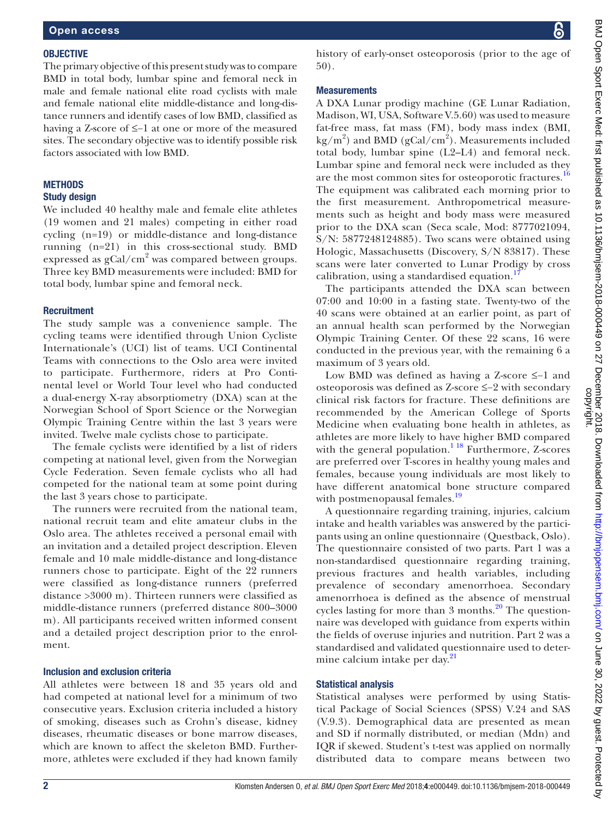#### **OBJECTIVE**

The primary objective of this present study was to compare BMD in total body, lumbar spine and femoral neck in male and female national elite road cyclists with male and female national elite middle-distance and long-distance runners and identify cases of low BMD, classified as having a Z-score of ≤−1 at one or more of the measured sites. The secondary objective was to identify possible risk factors associated with low BMD.

### **METHODS**

#### Study design

We included 40 healthy male and female elite athletes (19 women and 21 males) competing in either road cycling (n=19) or middle-distance and long-distance running (n=21) in this cross-sectional study. BMD expressed as  $gCal/cm<sup>2</sup>$  was compared between groups. Three key BMD measurements were included: BMD for total body, lumbar spine and femoral neck.

#### **Recruitment**

The study sample was a convenience sample. The cycling teams were identified through Union Cycliste Internationale's (UCI) list of teams. UCI Continental Teams with connections to the Oslo area were invited to participate. Furthermore, riders at Pro Continental level or World Tour level who had conducted a dual-energy X-ray absorptiometry (DXA) scan at the Norwegian School of Sport Science or the Norwegian Olympic Training Centre within the last 3 years were invited. Twelve male cyclists chose to participate.

The female cyclists were identified by a list of riders competing at national level, given from the Norwegian Cycle Federation. Seven female cyclists who all had competed for the national team at some point during the last 3 years chose to participate.

The runners were recruited from the national team, national recruit team and elite amateur clubs in the Oslo area. The athletes received a personal email with an invitation and a detailed project description. Eleven female and 10 male middle-distance and long-distance runners chose to participate. Eight of the 22 runners were classified as long-distance runners (preferred distance >3000 m). Thirteen runners were classified as middle-distance runners (preferred distance 800–3000 m). All participants received written informed consent and a detailed project description prior to the enrolment.

#### Inclusion and exclusion criteria

All athletes were between 18 and 35 years old and had competed at national level for a minimum of two consecutive years. Exclusion criteria included a history of smoking, diseases such as Crohn's disease, kidney diseases, rheumatic diseases or bone marrow diseases, which are known to affect the skeleton BMD. Furthermore, athletes were excluded if they had known family history of early-onset osteoporosis (prior to the age of 50).

A DXA Lunar prodigy machine (GE Lunar Radiation, Madison, WI, USA, Software V.5.60) was used to measure fat-free mass, fat mass (FM), body mass index (BMI,  $\text{kg/m}^2$ ) and BMD (gCal/cm<sup>2</sup>). Measurements included total body, lumbar spine (L2–L4) and femoral neck. Lumbar spine and femoral neck were included as they are the most common sites for osteoporotic fractures.<sup>[16](#page-6-0)</sup> The equipment was calibrated each morning prior to the first measurement. Anthropometrical measurements such as height and body mass were measured prior to the DXA scan (Seca scale, Mod: 8777021094, S/N: 5877248124885). Two scans were obtained using Hologic, Massachusetts (Discovery, S/N 83817). These scans were later converted to Lunar Prodigy by cross calibration, using a standardised equation.<sup>[17](#page-6-1)</sup>

The participants attended the DXA scan between 07:00 and 10:00 in a fasting state. Twenty-two of the 40 scans were obtained at an earlier point, as part of an annual health scan performed by the Norwegian Olympic Training Center. Of these 22 scans, 16 were conducted in the previous year, with the remaining 6 a maximum of 3 years old.

Low BMD was defined as having a Z-score ≤−1 and osteoporosis was defined as Z-score ≤−2 with secondary clinical risk factors for fracture. These definitions are recommended by the American College of Sports Medicine when evaluating bone health in athletes, as athletes are more likely to have higher BMD compared with the general population.<sup>1 18</sup> Furthermore, Z-scores are preferred over T-scores in healthy young males and females, because young individuals are most likely to have different anatomical bone structure compared with postmenopausal females.<sup>[19](#page-6-2)</sup>

A questionnaire regarding training, injuries, calcium intake and health variables was answered by the participants using an online questionnaire (Questback, Oslo). The questionnaire consisted of two parts. Part 1 was a non-standardised questionnaire regarding training, previous fractures and health variables, including prevalence of secondary amenorrhoea. Secondary amenorrhoea is defined as the absence of menstrual cycles lasting for more than  $3$  months.<sup>20</sup> The questionnaire was developed with guidance from experts within the fields of overuse injuries and nutrition. Part 2 was a standardised and validated questionnaire used to determine calcium intake per day. $21$ 

#### Statistical analysis

Statistical analyses were performed by using Statistical Package of Social Sciences (SPSS) V.24 and SAS (V.9.3). Demographical data are presented as mean and SD if normally distributed, or median (Mdn) and IQR if skewed. Student's t-test was applied on normally distributed data to compare means between two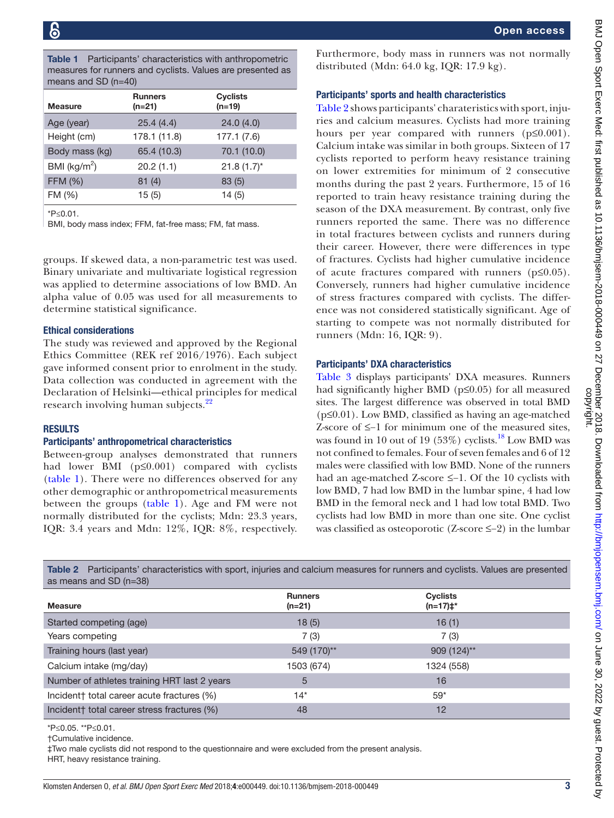<span id="page-2-0"></span>Table 1 Participants' characteristics with anthropometric measures for runners and cyclists. Values are presented as means and SD (n=40)

| <b>Measure</b>          | <b>Runners</b><br>$(n=21)$ | <b>Cyclists</b><br>$(n=19)$ |  |
|-------------------------|----------------------------|-----------------------------|--|
| Age (year)              | 25.4(4.4)                  | 24.0(4.0)                   |  |
| Height (cm)             | 178.1 (11.8)               | 177.1(7.6)                  |  |
| Body mass (kg)          | 65.4 (10.3)                | 70.1 (10.0)                 |  |
| BMI ( $\text{kg/m}^2$ ) | 20.2(1.1)                  | $21.8(1.7)$ *               |  |
| FFM (%)                 | 81(4)                      | 83(5)                       |  |
| FM (%)                  | 15(5)                      | 14(5)                       |  |
|                         |                            |                             |  |

\*P≤0.01.

BMI, body mass index; FFM, fat-free mass; FM, fat mass.

groups. If skewed data, a non-parametric test was used. Binary univariate and multivariate logistical regression was applied to determine associations of low BMD. An alpha value of 0.05 was used for all measurements to determine statistical significance.

#### Ethical considerations

The study was reviewed and approved by the Regional Ethics Committee (REK ref 2016/1976). Each subject gave informed consent prior to enrolment in the study. Data collection was conducted in agreement with the Declaration of Helsinki—ethical principles for medical research involving human subjects.<sup>[22](#page-6-5)</sup>

#### **RESULTS**

#### Participants' anthropometrical characteristics

Between-group analyses demonstrated that runners had lower BMI (p≤0.001) compared with cyclists ([table](#page-2-0) 1). There were no differences observed for any other demographic or anthropometrical measurements between the groups [\(table](#page-2-0) 1). Age and FM were not normally distributed for the cyclists; Mdn: 23.3 years, IQR: 3.4 years and Mdn: 12%, IQR: 8%, respectively.

Furthermore, body mass in runners was not normally distributed (Mdn: 64.0 kg, IQR: 17.9 kg).

#### Participants' sports and health characteristics

[Table](#page-2-1) 2 shows participants' charateristics with sport, injuries and calcium measures. Cyclists had more training hours per year compared with runners (p≤0.001). Calcium intake was similar in both groups. Sixteen of 17 cyclists reported to perform heavy resistance training on lower extremities for minimum of 2 consecutive months during the past 2 years. Furthermore, 15 of 16 reported to train heavy resistance training during the season of the DXA measurement. By contrast, only five runners reported the same. There was no difference in total fractures between cyclists and runners during their career. However, there were differences in type of fractures. Cyclists had higher cumulative incidence of acute fractures compared with runners (p≤0.05). Conversely, runners had higher cumulative incidence of stress fractures compared with cyclists. The difference was not considered statistically significant. Age of starting to compete was not normally distributed for runners (Mdn: 16, IQR: 9).

#### Participants' DXA characteristics

[Table](#page-3-0) 3 displays participants' DXA measures. Runners had significantly higher BMD (p≤0.05) for all measured sites. The largest difference was observed in total BMD  $(p \le 0.01)$ . Low BMD, classified as having an age-matched Z-score of ≤−1 for minimum one of the measured sites, was found in 10 out of 19 (53%) cyclists.<sup>18</sup> Low BMD was not confined to females. Four of seven females and 6 of 12 males were classified with low BMD. None of the runners had an age-matched Z-score ≤−1. Of the 10 cyclists with low BMD, 7 had low BMD in the lumbar spine, 4 had low BMD in the femoral neck and 1 had low total BMD. Two cyclists had low BMD in more than one site. One cyclist was classified as osteoporotic (Z-score ≤−2) in the lumbar

<span id="page-2-1"></span>Table 2 Participants' characteristics with sport, injuries and calcium measures for runners and cyclists. Values are presented as means and SD (n=38)

| <b>Measure</b>                               | <b>Runners</b><br>$(n=21)$ | <b>Cyclists</b><br>$(n=17)$ <sup>*</sup> |  |
|----------------------------------------------|----------------------------|------------------------------------------|--|
| Started competing (age)                      | 18(5)                      | 16(1)                                    |  |
| Years competing                              | 7(3)                       | 7(3)                                     |  |
| Training hours (last year)                   | 549 (170)**                | 909 (124)**                              |  |
| Calcium intake (mg/day)                      | 1503 (674)                 | 1324 (558)                               |  |
| Number of athletes training HRT last 2 years | 5                          | 16                                       |  |
| Incident total career acute fractures (%)    | $14*$                      | $59*$                                    |  |
| Incident† total career stress fractures (%)  | 48                         | 12                                       |  |

\*P≤0.05. \*\*P≤0.01.

†Cumulative incidence.

‡Two male cyclists did not respond to the questionnaire and were excluded from the present analysis.

HRT, heavy resistance training.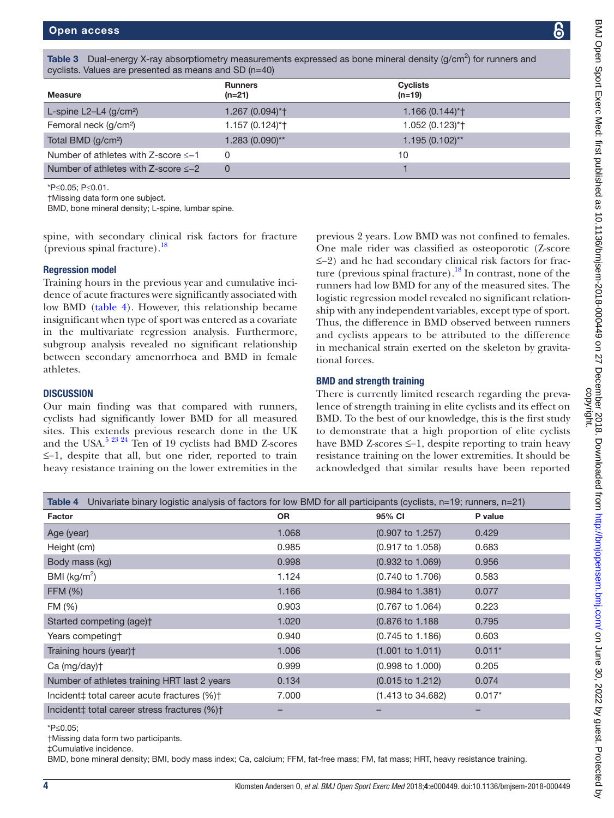<span id="page-3-0"></span>

| Table 3 Dual-energy X-ray absorptiometry measurements expressed as bone mineral density (g/cm <sup>2</sup> ) for runners and<br>cyclists. Values are presented as means and SD (n=40) |                            |                      |  |  |
|---------------------------------------------------------------------------------------------------------------------------------------------------------------------------------------|----------------------------|----------------------|--|--|
| <b>Measure</b>                                                                                                                                                                        | <b>Runners</b><br>$(n=21)$ | Cyclists<br>$(n=19)$ |  |  |
| L-spine L2-L4 $(g/cm2)$                                                                                                                                                               | 1.267 (0.094)*+            | $1.166(0.144)*$      |  |  |

| Femoral neck (g/cm <sup>2</sup> )           | $1.157(0.124)*$   | $1.052(0.123)*$   |
|---------------------------------------------|-------------------|-------------------|
| Total BMD (g/cm <sup>2</sup> )              | $1.283(0.090)$ ** | $1.195(0.102)$ ** |
| Number of athletes with Z-score $\leq -1$   |                   | 10                |
| Number of athletes with Z-score $\leq -2$ . |                   |                   |
| *P≤0.05; P≤0.01.                            |                   |                   |

†Missing data form one subject.

BMD, bone mineral density; L-spine, lumbar spine.

spine, with secondary clinical risk factors for fracture (previous spinal fracture). $^{18}$  $^{18}$  $^{18}$ 

#### Regression model

Training hours in the previous year and cumulative incidence of acute fractures were significantly associated with low BMD [\(table](#page-3-1) 4). However, this relationship became insignificant when type of sport was entered as a covariate in the multivariate regression analysis. Furthermore, subgroup analysis revealed no significant relationship between secondary amenorrhoea and BMD in female athletes.

#### **DISCUSSION**

Our main finding was that compared with runners, cyclists had significantly lower BMD for all measured sites. This extends previous research done in the UK and the USA.<sup>5 23 24</sup> Ten of 19 cyclists had BMD Z-scores ≤−1, despite that all, but one rider, reported to train heavy resistance training on the lower extremities in the

previous 2 years. Low BMD was not confined to females. One male rider was classified as osteoporotic (Z-score ≤−2) and he had secondary clinical risk factors for fracture (previous spinal fracture).<sup>18</sup> In contrast, none of the runners had low BMD for any of the measured sites. The logistic regression model revealed no significant relationship with any independent variables, except type of sport. Thus, the difference in BMD observed between runners and cyclists appears to be attributed to the difference in mechanical strain exerted on the skeleton by gravitational forces.

#### BMD and strength training

There is currently limited research regarding the prevalence of strength training in elite cyclists and its effect on BMD. To the best of our knowledge, this is the first study to demonstrate that a high proportion of elite cyclists have BMD Z-scores ≤−1, despite reporting to train heavy resistance training on the lower extremities. It should be acknowledged that similar results have been reported

<span id="page-3-1"></span>

| Univariate binary logistic analysis of factors for low BMD for all participants (cyclists, n=19; runners, n=21)<br>Table 4 |           |                              |          |  |  |
|----------------------------------------------------------------------------------------------------------------------------|-----------|------------------------------|----------|--|--|
| Factor                                                                                                                     | <b>OR</b> | 95% CI                       | P value  |  |  |
| Age (year)                                                                                                                 | 1.068     | $(0.907 \text{ to } 1.257)$  | 0.429    |  |  |
| Height (cm)                                                                                                                | 0.985     | $(0.917 \text{ to } 1.058)$  | 0.683    |  |  |
| Body mass (kg)                                                                                                             | 0.998     | $(0.932 \text{ to } 1.069)$  | 0.956    |  |  |
| BMI ( $\text{kg/m}^2$ )                                                                                                    | 1.124     | $(0.740 \text{ to } 1.706)$  | 0.583    |  |  |
| <b>FFM (%)</b>                                                                                                             | 1.166     | $(0.984 \text{ to } 1.381)$  | 0.077    |  |  |
| FM (%)                                                                                                                     | 0.903     | $(0.767 \text{ to } 1.064)$  | 0.223    |  |  |
| Started competing (age) <sup>+</sup>                                                                                       | 1.020     | (0.876 to 1.188)             | 0.795    |  |  |
| Years competing †                                                                                                          | 0.940     | $(0.745 \text{ to } 1.186)$  | 0.603    |  |  |
| Training hours (year)t                                                                                                     | 1.006     | $(1.001 \text{ to } 1.011)$  | $0.011*$ |  |  |
| $Ca$ (mg/day) $\dagger$                                                                                                    | 0.999     | $(0.998 \text{ to } 1.000)$  | 0.205    |  |  |
| Number of athletes training HRT last 2 years                                                                               | 0.134     | $(0.015 \text{ to } 1.212)$  | 0.074    |  |  |
| Incident‡ total career acute fractures (%)+                                                                                | 7.000     | $(1.413 \text{ to } 34.682)$ | $0.017*$ |  |  |
| Incident‡ total career stress fractures (%)+                                                                               |           |                              |          |  |  |

\*P≤0.05;

†Missing data form two participants.

‡Cumulative incidence.

BMD, bone mineral density; BMI, body mass index; Ca, calcium; FFM, fat-free mass; FM, fat mass; HRT, heavy resistance training.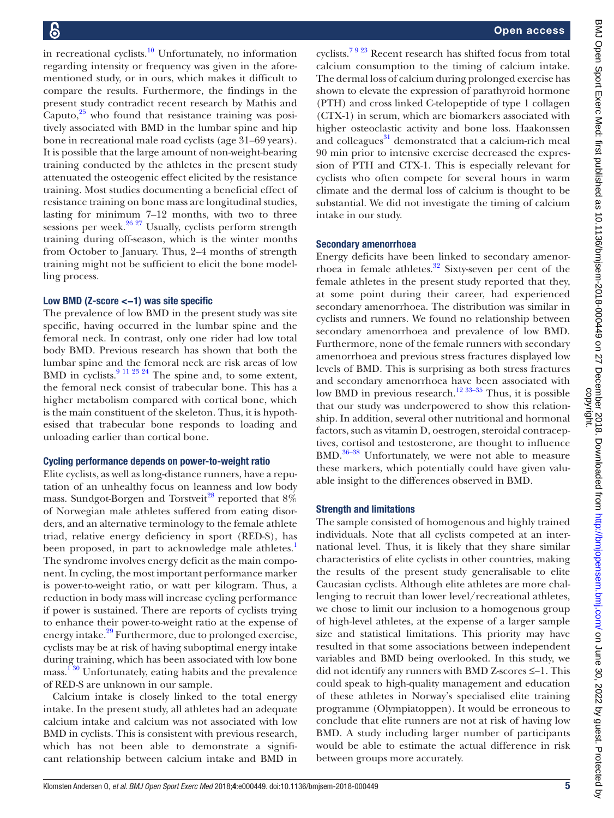in recreational cyclists. $10$  Unfortunately, no information regarding intensity or frequency was given in the aforementioned study, or in ours, which makes it difficult to compare the results. Furthermore, the findings in the present study contradict recent research by Mathis and Caputo, $25$  who found that resistance training was positively associated with BMD in the lumbar spine and hip bone in recreational male road cyclists (age 31–69 years). It is possible that the large amount of non-weight-bearing training conducted by the athletes in the present study attenuated the osteogenic effect elicited by the resistance training. Most studies documenting a beneficial effect of resistance training on bone mass are longitudinal studies, lasting for minimum 7–12 months, with two to three sessions per week.<sup>[26 27](#page-6-8)</sup> Usually, cyclists perform strength training during off-season, which is the winter months from October to January. Thus, 2–4 months of strength training might not be sufficient to elicit the bone modelling process.

#### Low BMD (Z-score <−1) was site specific

The prevalence of low BMD in the present study was site specific, having occurred in the lumbar spine and the femoral neck. In contrast, only one rider had low total body BMD. Previous research has shown that both the lumbar spine and the femoral neck are risk areas of low BMD in cyclists. $9^{11}$   $23$   $24$  The spine and, to some extent, the femoral neck consist of trabecular bone. This has a higher metabolism compared with cortical bone, which is the main constituent of the skeleton. Thus, it is hypothesised that trabecular bone responds to loading and unloading earlier than cortical bone.

#### Cycling performance depends on power-to-weight ratio

Elite cyclists, as well as long-distance runners, have a reputation of an unhealthy focus on leanness and low body mass. Sundgot-Borgen and Torstveit<sup>28</sup> reported that  $8\%$ of Norwegian male athletes suffered from eating disorders, and an alternative terminology to the female athlete triad, relative energy deficiency in sport (RED-S), has been proposed, in part to acknowledge male athletes.<sup>[1](#page-5-6)</sup> The syndrome involves energy deficit as the main component. In cycling, the most important performance marker is power-to-weight ratio, or watt per kilogram. Thus, a reduction in body mass will increase cycling performance if power is sustained. There are reports of cyclists trying to enhance their power-to-weight ratio at the expense of energy intake.<sup>29</sup> Furthermore, due to prolonged exercise, cyclists may be at risk of having suboptimal energy intake during training, which has been associated with low bone mass.<sup>130</sup> Unfortunately, eating habits and the prevalence of RED-S are unknown in our sample.

Calcium intake is closely linked to the total energy intake. In the present study, all athletes had an adequate calcium intake and calcium was not associated with low BMD in cyclists. This is consistent with previous research, which has not been able to demonstrate a significant relationship between calcium intake and BMD in

cyclists.[7 9 23](#page-5-9) Recent research has shifted focus from total calcium consumption to the timing of calcium intake. The dermal loss of calcium during prolonged exercise has shown to elevate the expression of parathyroid hormone (PTH) and cross linked C-telopeptide of type 1 collagen (CTX-1) in serum, which are biomarkers associated with higher osteoclastic activity and bone loss. Haakonssen and colleagues<sup>31</sup> demonstrated that a calcium-rich meal 90 min prior to intensive exercise decreased the expression of PTH and CTX-1. This is especially relevant for cyclists who often compete for several hours in warm climate and the dermal loss of calcium is thought to be substantial. We did not investigate the timing of calcium intake in our study.

#### Secondary amenorrhoea

Energy deficits have been linked to secondary amenorrhoea in female athletes. $32$  Sixty-seven per cent of the female athletes in the present study reported that they, at some point during their career, had experienced secondary amenorrhoea. The distribution was similar in cyclists and runners. We found no relationship between secondary amenorrhoea and prevalence of low BMD. Furthermore, none of the female runners with secondary amenorrhoea and previous stress fractures displayed low levels of BMD. This is surprising as both stress fractures and secondary amenorrhoea have been associated with low BMD in previous research.<sup>12 33–35</sup> Thus, it is possible that our study was underpowered to show this relationship. In addition, several other nutritional and hormonal factors, such as vitamin D, oestrogen, steroidal contraceptives, cortisol and testosterone, are thought to influence  $BMD$ .<sup>36–38</sup> Unfortunately, we were not able to measure these markers, which potentially could have given valuable insight to the differences observed in BMD.

#### Strength and limitations

The sample consisted of homogenous and highly trained individuals. Note that all cyclists competed at an international level. Thus, it is likely that they share similar characteristics of elite cyclists in other countries, making the results of the present study generalisable to elite Caucasian cyclists. Although elite athletes are more challenging to recruit than lower level/recreational athletes, we chose to limit our inclusion to a homogenous group of high-level athletes, at the expense of a larger sample size and statistical limitations. This priority may have resulted in that some associations between independent variables and BMD being overlooked. In this study, we did not identify any runners with BMD Z-scores ≤−1. This could speak to high-quality management and education of these athletes in Norway's specialised elite training programme (Olympiatoppen). It would be erroneous to conclude that elite runners are not at risk of having low BMD. A study including larger number of participants would be able to estimate the actual difference in risk between groups more accurately.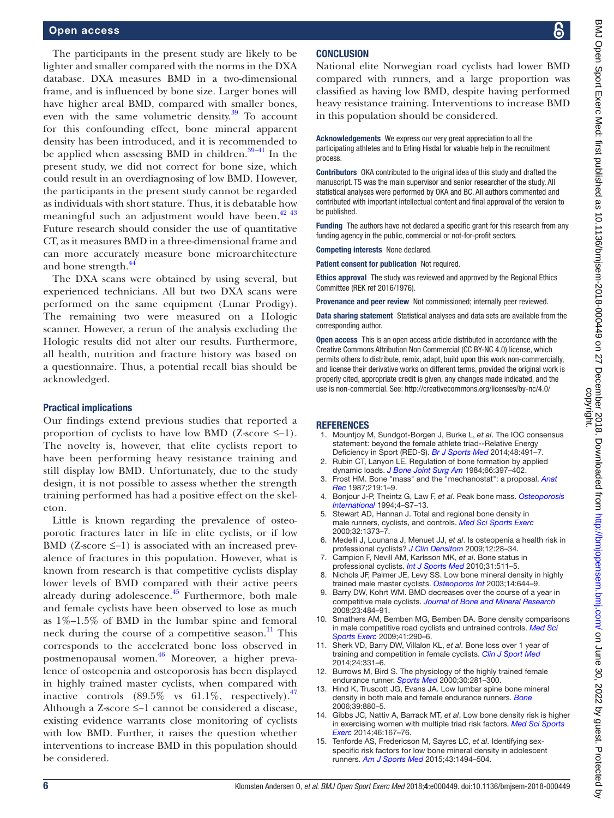The participants in the present study are likely to be lighter and smaller compared with the norms in the DXA database. DXA measures BMD in a two-dimensional frame, and is influenced by bone size. Larger bones will have higher areal BMD, compared with smaller bones, even with the same volumetric density. $39$  To account for this confounding effect, bone mineral apparent density has been introduced, and it is recommended to be applied when assessing BMD in children. $39-41$  In the present study, we did not correct for bone size, which could result in an overdiagnosing of low BMD. However, the participants in the present study cannot be regarded as individuals with short stature. Thus, it is debatable how meaningful such an adjustment would have been. $4243$ Future research should consider the use of quantitative CT, as it measures BMD in a three-dimensional frame and can more accurately measure bone microarchitecture and bone strength.<sup>[44](#page-6-16)</sup>

The DXA scans were obtained by using several, but experienced technicians. All but two DXA scans were performed on the same equipment (Lunar Prodigy). The remaining two were measured on a Hologic scanner. However, a rerun of the analysis excluding the Hologic results did not alter our results. Furthermore, all health, nutrition and fracture history was based on a questionnaire. Thus, a potential recall bias should be acknowledged.

#### Practical implications

Our findings extend previous studies that reported a proportion of cyclists to have low BMD (Z-score ≤−1). The novelty is, however, that elite cyclists report to have been performing heavy resistance training and still display low BMD. Unfortunately, due to the study design, it is not possible to assess whether the strength training performed has had a positive effect on the skeleton.

Little is known regarding the prevalence of osteoporotic fractures later in life in elite cyclists, or if low BMD (Z-score ≤−1) is associated with an increased prevalence of fractures in this population. However, what is known from research is that competitive cyclists display lower levels of BMD compared with their active peers already during adolescence.<sup>45</sup> Furthermore, both male and female cyclists have been observed to lose as much as 1%–1.5% of BMD in the lumbar spine and femoral neck during the course of a competitive season. $\frac{11}{11}$  $\frac{11}{11}$  $\frac{11}{11}$  This corresponds to the accelerated bone loss observed in postmenopausal women[.46](#page-6-18) Moreover, a higher prevalence of osteopenia and osteoporosis has been displayed in highly trained master cyclists, when compared with inactive controls  $(89.5\% \text{ vs } 61.1\% \text{, respectively}).$ <sup>47</sup> Although a Z-score ≤−1 cannot be considered a disease, existing evidence warrants close monitoring of cyclists with low BMD. Further, it raises the question whether interventions to increase BMD in this population should be considered.

#### **CONCLUSION**

National elite Norwegian road cyclists had lower BMD compared with runners, and a large proportion was classified as having low BMD, despite having performed heavy resistance training. Interventions to increase BMD in this population should be considered.

Acknowledgements We express our very great appreciation to all the participating athletes and to Erling Hisdal for valuable help in the recruitment process.

Contributors OKA contributed to the original idea of this study and drafted the manuscript. TS was the main supervisor and senior researcher of the study. All statistical analyses were performed by OKA and BC. All authors commented and contributed with important intellectual content and final approval of the version to be published.

Funding The authors have not declared a specific grant for this research from any funding agency in the public, commercial or not-for-profit sectors.

Competing interests None declared.

Patient consent for publication Not required.

Ethics approval The study was reviewed and approved by the Regional Ethics Committee (REK ref 2016/1976).

Provenance and peer review Not commissioned; internally peer reviewed.

Data sharing statement Statistical analyses and data sets are available from the corresponding author.

Open access This is an open access article distributed in accordance with the Creative Commons Attribution Non Commercial (CC BY-NC 4.0) license, which permits others to distribute, remix, adapt, build upon this work non-commercially, and license their derivative works on different terms, provided the original work is properly cited, appropriate credit is given, any changes made indicated, and the use is non-commercial. See: <http://creativecommons.org/licenses/by-nc/4.0/>

#### **REFERENCES**

- <span id="page-5-6"></span>1. Mountjoy M, Sundgot-Borgen J, Burke L, *et al*. The IOC consensus statement: beyond the female athlete triad--Relative Energy Deficiency in Sport (RED-S). *[Br J Sports Med](http://dx.doi.org/10.1136/bjsports-2014-093502)* 2014;48:491–7.
- <span id="page-5-0"></span>2. Rubin CT, Lanyon LE. Regulation of bone formation by applied dynamic loads. *[J Bone Joint Surg Am](http://dx.doi.org/10.2106/00004623-198466030-00012)* 1984;66:397–402.
- 3. Frost HM. Bone "mass" and the "mechanostat": a proposal. *[Anat](http://dx.doi.org/10.1002/ar.1092190104)  [Rec](http://dx.doi.org/10.1002/ar.1092190104)* 1987;219:1–9.
- <span id="page-5-1"></span>4. Bonjour J-P, Theintz G, Law F, *et al*. Peak bone mass. *[Osteoporosis](http://dx.doi.org/10.1007/BF01623429)  [International](http://dx.doi.org/10.1007/BF01623429)* 1994;4–S7–13.
- <span id="page-5-2"></span>5. Stewart AD, Hannan J. Total and regional bone density in male runners, cyclists, and controls. *[Med Sci Sports Exerc](http://dx.doi.org/10.1097/00005768-200008000-00003)* 2000;32:1373–7.
- 6. Medelli J, Lounana J, Menuet JJ, *et al*. Is osteopenia a health risk in professional cyclists? *[J Clin Densitom](http://dx.doi.org/10.1016/j.jocd.2008.07.057)* 2009;12:28–34.
- <span id="page-5-9"></span>7. Campion F, Nevill AM, Karlsson MK, *et al*. Bone status in professional cyclists. *[Int J Sports Med](http://dx.doi.org/10.1055/s-0029-1243616)* 2010;31:511–5.
- <span id="page-5-3"></span>Nichols JF, Palmer JE, Levy SS. Low bone mineral density in highly trained male master cyclists. *[Osteoporos Int](http://dx.doi.org/10.1007/s00198-003-1418-z)* 2003;14:644–9.
- <span id="page-5-8"></span>9. Barry DW, Kohrt WM. BMD decreases over the course of a year in competitive male cyclists. *[Journal of Bone and Mineral Research](http://dx.doi.org/10.1359/jbmr.071203)* 2008;23:484–91.
- <span id="page-5-7"></span>10. Smathers AM, Bemben MG, Bemben DA. Bone density comparisons in male competitive road cyclists and untrained controls. *[Med Sci](http://dx.doi.org/10.1249/MSS.0b013e318185493e)  [Sports Exerc](http://dx.doi.org/10.1249/MSS.0b013e318185493e)* 2009;41:290–6.
- <span id="page-5-10"></span>11. Sherk VD, Barry DW, Villalon KL, *et al*. Bone loss over 1 year of training and competition in female cyclists. *[Clin J Sport Med](http://dx.doi.org/10.1097/JSM.0000000000000050)* 2014;24:331–6.
- <span id="page-5-4"></span>12. Burrows M, Bird S. The physiology of the highly trained female endurance runner. *[Sports Med](http://dx.doi.org/10.2165/00007256-200030040-00004)* 2000;30:281–300.
- 13. Hind K, Truscott JG, Evans JA. Low lumbar spine bone mineral density in both male and female endurance runners. *[Bone](http://dx.doi.org/10.1016/j.bone.2006.03.012)* 2006;39:880–5.
- <span id="page-5-5"></span>14. Gibbs JC, Nattiv A, Barrack MT, *et al*. Low bone density risk is higher in exercising women with multiple triad risk factors. *[Med Sci Sports](http://dx.doi.org/10.1249/MSS.0b013e3182a03b8b)  [Exerc](http://dx.doi.org/10.1249/MSS.0b013e3182a03b8b)* 2014;46:167–76.
- 15. Tenforde AS, Fredericson M, Sayres LC, *et al*. Identifying sexspecific risk factors for low bone mineral density in adolescent runners. *[Am J Sports Med](http://dx.doi.org/10.1177/0363546515572142)* 2015;43:1494–504.